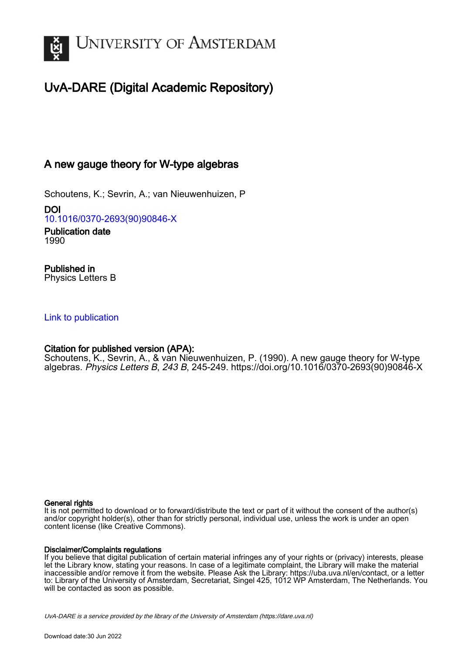

# UvA-DARE (Digital Academic Repository)

# A new gauge theory for W-type algebras

Schoutens, K.; Sevrin, A.; van Nieuwenhuizen, P

DOI [10.1016/0370-2693\(90\)90846-X](https://doi.org/10.1016/0370-2693(90)90846-X)

Publication date 1990

Published in Physics Letters B

## [Link to publication](https://dare.uva.nl/personal/pure/en/publications/a-new-gauge-theory-for-wtype-algebras(2803e191-b19d-4681-b1c2-6989cb19ba2c).html)

## Citation for published version (APA):

Schoutens, K., Sevrin, A., & van Nieuwenhuizen, P. (1990). A new gauge theory for W-type algebras. Physics Letters B, 243 B, 245-249. [https://doi.org/10.1016/0370-2693\(90\)90846-X](https://doi.org/10.1016/0370-2693(90)90846-X)

### General rights

It is not permitted to download or to forward/distribute the text or part of it without the consent of the author(s) and/or copyright holder(s), other than for strictly personal, individual use, unless the work is under an open content license (like Creative Commons).

### Disclaimer/Complaints regulations

If you believe that digital publication of certain material infringes any of your rights or (privacy) interests, please let the Library know, stating your reasons. In case of a legitimate complaint, the Library will make the material inaccessible and/or remove it from the website. Please Ask the Library: https://uba.uva.nl/en/contact, or a letter to: Library of the University of Amsterdam, Secretariat, Singel 425, 1012 WP Amsterdam, The Netherlands. You will be contacted as soon as possible.

UvA-DARE is a service provided by the library of the University of Amsterdam (http*s*://dare.uva.nl)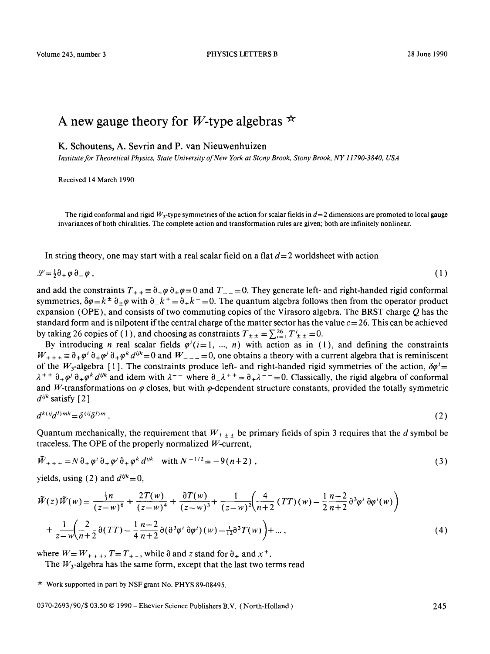Volume 243, number 3 PHYSICS LETTERS B 28 June 1990

# A new gauge theory for *W*-type algebras  $*$

**K. Schoutens, A.** Sevrin and P. van Nieuwenhuizen

*Institute for Theoretical Physics, State University of New York at Stony Brook, Stony Brook, NY 11790-3840, USA* 

Received 14 March 1990

The rigid conformal and rigid  $W_3$ -type symmetries of the action for scalar fields in  $d=2$  dimensions are promoted to local gauge invariances of both chiralities. The complete action and transformation rules are given; both are infinitely nonlinear.

In string theory, one may start with a real scalar field on a flat  $d=2$  worldsheet with action

$$
\mathcal{L} = \frac{1}{2}\partial_+ \varphi \, \partial_- \varphi \,, \tag{1}
$$

and add the constraints  $T_{++} = \partial_+\varphi \partial_+\varphi = 0$  and  $T_{--} = 0$ . They generate left- and right-handed rigid conformal symmetries,  $\delta\varphi = k^{\pm} \partial_{\pm} \varphi$  with  $\partial_{-} k^{\pm} = \partial_{+} k^{-} = 0$ . The quantum algebra follows then from the operator product expansion (OPE), and consists of two commuting copies of the Virasoro algebra. The BRST charge  $Q$  has the standard form and is nilpotent if the central charge of the matter sector has the value  $c=26$ . This can be achieved by taking 26 copies of (1), and choosing as constraints  $T_{\pm\pm} = \sum_{i=1}^{8} T^i_{\pm\pm} = 0$ .

By introducing *n* real scalar fields  $\varphi^{i}(i=1, ..., n)$  with action as in (1), and defining the constraints  $W_{++} = \partial_+ \varphi^i \partial_+ \varphi^k d^{ijk} = 0$  and  $W_{---} = 0$ , one obtains a theory with a current algebra that is reminiscent of the W<sub>3</sub>-algebra [1]. The constraints produce left- and right-handed rigid symmetries of the action,  $\delta\varphi^i$  $\lambda^{++}$   $\partial_+\varphi^i \partial_+\varphi^k d^{ijk}$  and idem with  $\lambda^{--}$  where  $\partial_-\lambda^{++} = \partial_+\lambda^{--} = 0$ . Classically, the rigid algebra of conformal and W-transformations on  $\varphi$  closes, but with  $\varphi$ -dependent structure constants, provided the totally symmetric  $d^{ijk}$  satisfy [2]

$$
d^{k(i)}d^{l)mk} = \delta^{(ij}\delta^{l)m} \tag{2}
$$

Quantum mechanically, the requirement that  $W_{\pm \pm \pm \pm}$  be primary fields of spin 3 requires that the d symbol be traceless. The OPE of the properly normalized W-current,

$$
\tilde{W}_{+++} = N \partial_+ \varphi^i \partial_+ \varphi^j \partial_+ \varphi^k d^{ijk} \quad \text{with } N^{-1/2} = -9(n+2) \;, \tag{3}
$$

yields, using (2) and  $d^{ijk} = 0$ ,

$$
\tilde{W}(z)\tilde{W}(w) = \frac{\frac{1}{3}n}{(z-w)^6} + \frac{2T(w)}{(z-w)^4} + \frac{\partial T(w)}{(z-w)^3} + \frac{1}{(z-w)^2} \left(\frac{4}{n+2} (TT)(w) - \frac{1}{2} \frac{n-2}{n+2} \partial^3 \varphi^i \partial \varphi^i(w)\right) + \frac{1}{z-w} \left(\frac{2}{n+2} \partial (TT) - \frac{1}{4} \frac{n-2}{n+2} \partial (\partial^3 \varphi^i \partial \varphi^i)(w) - \frac{1}{12} \partial^3 T(w)\right) + \dots,
$$
\n(4)

where  $W = W_{+++}, T = T_{++}$ , while  $\partial$  and z stand for  $\partial_+$  and  $x^+$ .

The  $W_3$ -algebra has the same form, except that the last two terms read

 $*$  Work supported in part by NSF grant No. PHYS 89-08495.

0370-2693/90/\$ 03.50 © 1990 - Elsevier Science Publishers B.V. ( North-Holland ) 245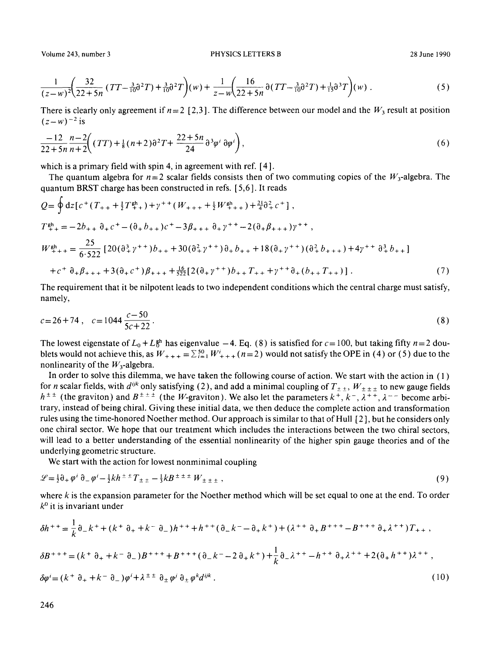$$
\frac{1}{(z-w)^2} \left( \frac{32}{22+5n} \left( TT - \frac{3}{10} \partial^2 T \right) + \frac{3}{10} \partial^2 T \right) (w) + \frac{1}{z-w} \left( \frac{16}{22+5n} \partial (TT - \frac{3}{10} \partial^2 T) + \frac{1}{15} \partial^3 T \right) (w) \tag{5}
$$

There is clearly only agreement if  $n = 2$  [2,3]. The difference between our model and the  $W_3$  result at position  $(z-w)^{-2}$  is

$$
\frac{-12}{22+5n} \frac{n-2}{n+2} \Big( (TT) + \frac{1}{8} (n+2) \partial^2 T + \frac{22+5n}{24} \partial^3 \varphi^i \partial \varphi^i \Big), \tag{6}
$$

which is a primary field with spin 4, in agreement with ref. [4].

The quantum algebra for  $n=2$  scalar fields consists then of two commuting copies of the  $W_3$ -algebra. The quantum BRST charge has been constructed in refs. [ 5,6 ]. It reads

$$
Q = \oint dz \left[ c^{+} (T_{++} + \frac{1}{2} T_{++}^{gh}) + \gamma^{++} (W_{+++} + \frac{1}{2} W_{++}^{gh} + ) + \frac{21}{4} \partial_{+}^{2} c^{+} \right],
$$
  
\n
$$
T_{++}^{gh} = -2b_{++} \partial_{+} c^{+} - (\partial_{+} b_{++}) c^{+} - 3\beta_{++} \partial_{+} \gamma^{++} - 2(\partial_{+} \beta_{+++}) \gamma^{++},
$$
  
\n
$$
W_{+++}^{gh} = \frac{25}{6 \cdot 522} \left[ 20 (\partial_{+}^{3} \gamma^{++}) b_{++} + 30 (\partial_{+}^{2} \gamma^{++}) \partial_{+} b_{++} + 18 (\partial_{+} \gamma^{++}) (\partial_{+}^{2} b_{+++}) + 4 \gamma^{++} \partial_{+}^{3} b_{++} \right]
$$
  
\n
$$
+ c^{+} \partial_{+} \beta_{+++} + 3 (\partial_{+} c^{+}) \beta_{+++} + \frac{16}{522} \left[ 2 (\partial_{+} \gamma^{++}) b_{++} T_{++} + \gamma^{++} \partial_{+} (b_{++} T_{++}) \right].
$$
 (7)

The requirement that it be nilpotent leads to two independent conditions which the central charge must satisfy, namely,

$$
c = 26 + 74 \,, \quad c = 1044 \, \frac{c - 50}{5c + 22} \,. \tag{8}
$$

The lowest eigenstate of  $L_0 + L_0^{ph}$  has eigenvalue  $-4$ . Eq. (8) is satisfied for  $c = 100$ , but taking fifty  $n = 2$  doublets would not achieve this, as  $W_{+++} = \sum_{i=1}^{50} W_{+++}^i$  (n=2) would not satisfy the OPE in (4) or (5) due to the nonlinearity of the  $W_3$ -algebra.

In order to solve this dilemma, we have taken the following course of action. We start with the action in  $(1)$ for *n* scalar fields, with  $d^{ijk}$  only satisfying (2), and add a minimal coupling of  $T_{\pm\pm}$ ,  $W_{\pm\pm\pm}$  to new gauge fields  $h^{\pm \pm}$  (the graviton) and  $B^{\pm \pm \pm}$  (the W-graviton). We also let the parameters  $k^{\pm}$ ,  $k^-$ ,  $\lambda^{\pm \pm}$ ,  $\lambda^{--}$  become arbitrary, instead of being chiral. Giving these initial data, we then deduce the complete action and transformation rules using the time-honored Noether method. Our approach is similar to that of Hull [2 ], but he considers only one chiral sector. We hope that our treatment which includes the interactions between the two chiral sectors, will lead to a better understanding of the essential nonlinearity of the higher spin gauge theories and of the underlying geometric structure.

We start with the action for lowest nonminimal coupling

$$
\mathcal{L} = \frac{1}{2}\partial_+ \varphi^i \partial_- \varphi^i - \frac{1}{2}kh^{\pm \pm} T_{\pm \pm} - \frac{1}{3}kB^{\pm \pm \pm} W_{\pm \pm \pm}, \qquad (9)
$$

where k is the expansion parameter for the Noether method which will be set equal to one at the end. To order  $k^0$  it is invariant under

$$
\delta h^{++} = \frac{1}{k} \partial_{-} k^{+} + (k^{+} \partial_{+} + k^{-} \partial_{-}) h^{++} + h^{++} (\partial_{-} k^{-} - \partial_{+} k^{+}) + (\lambda^{++} \partial_{+} B^{+++} - B^{+++} \partial_{+} \lambda^{++}) T_{++},
$$
  
\n
$$
\delta B^{+++} = (k^{+} \partial_{+} + k^{-} \partial_{-}) B^{+++} + B^{+++} (\partial_{-} k^{-} - 2 \partial_{+} k^{+}) + \frac{1}{k} \partial_{-} \lambda^{++} - h^{++} \partial_{+} \lambda^{++} + 2 (\partial_{+} h^{++}) \lambda^{++},
$$
  
\n
$$
\delta \varphi^{i} = (k^{+} \partial_{+} + k^{-} \partial_{-}) \varphi^{i} + \lambda^{\pm \pm} \partial_{+} \varphi^{i} \partial_{+} \varphi^{k} d^{ijk}.
$$
\n(10)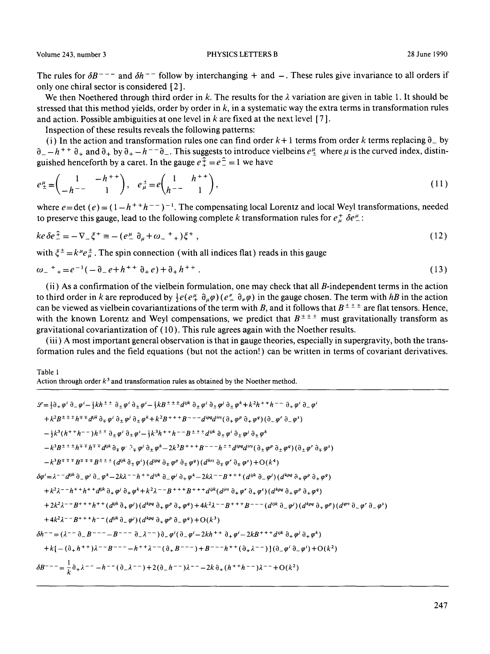The rules for  $\delta B^{--}$  and  $\delta h^{--}$  follow by interchanging + and -. These rules give invariance to all orders if only one chiral sector is considered [ 2 ].

We then Noethered through third order in k. The results for the  $\lambda$  variation are given in table 1. It should be stressed that this method yields, order by order in  $k$ , in a systematic way the extra terms in transformation rules and action. Possible ambiguities at one level in  $k$  are fixed at the next level [7].

Inspection of these results reveals the following patterns:

(i) In the action and transformation rules one can find order  $k+1$  terms from order k terms replacing  $\theta_{-}$  by  $\partial_- - h^{+}$  +  $\partial_+$  and  $\partial_+$  by  $\partial_+ - h^{--} \partial_-$ . This suggests to introduce vielbeins  $e^{\mu}_+$  where  $\mu$  is the curved index, distinguished henceforth by a caret. In the gauge  $e^{\frac{2}{x}} = e^{\frac{2}{x}} = 1$  we have

$$
e^{\mu}_{\pm} = \begin{pmatrix} 1 & -h^{++} \\ -h^{--} & 1 \end{pmatrix}, \quad e^{\pm}_{\mu} = e \begin{pmatrix} 1 & h^{++} \\ h^{--} & 1 \end{pmatrix}, \tag{11}
$$

where  $e = \det(e) = (1 - h^{+} + h^{--})^{-1}$ . The compensating local Lorentz and local Weyl transformations, needed to preserve this gauge, lead to the following complete k transformation rules for  $e^+_{\mu} \delta e^{\mu}$ :

$$
ke \delta e^{\frac{2}{\mu}} = -\nabla_{-\xi} \xi^{+} \equiv -\left(e^{\mu}_{-\xi} \partial_{\mu} + \omega_{-\xi}^{+}\right) \xi^{+}, \tag{12}
$$

with  $\xi^{\pm} = k^{\mu} e_{\mu}^{\pm}$ . The spin connection (with all indices flat) reads in this gauge

$$
\omega_{-}{}^{+}{}_{+} = e^{-1}(-\partial_{-}e + h^{++}\partial_{+}e) + \partial_{+}h^{++}.
$$
\n(13)

(ii) As a confirmation of the vielbein formulation, one may check that all  $B$ -independent terms in the action to third order in k are reproduced by  $\frac{1}{2}e(e\frac{\mu}{4} \partial_{\mu}\varphi)(e\frac{\nu}{2} \partial_{\nu}\varphi)$  in the gauge chosen. The term with hB in the action can be viewed as vielbein covariantizations of the term with B, and it follows that  $B^{\pm \pm \pm}$  are flat tensors. Hence, with the known Lorentz and Weyl compensations, we predict that  $B^{\pm \pm \pm}$  must gravitationally transform as gravitational covariantization of (10). This rule agrees again with the Noether results.

(iii) A most important general observation is that in gauge theories, especially in supergravity, both the transformation rules and the field equations (but not the action! ) can be written in terms of covariant derivatives.

Table 1

Action through order  $k<sup>3</sup>$  and transformation rules as obtained by the Noether method.

$$
\mathcal{L} = \frac{1}{2}\partial_{+}\varphi^{i}\partial_{-}\varphi^{i}-\frac{1}{2}kh^{\pm\pm} \partial_{\pm}\varphi^{i}\partial_{\pm}\varphi^{i}-\frac{1}{2}kB^{\pm\pm\pm}d^{ijk}\partial_{\pm}\varphi^{i}\partial_{\pm}\varphi^{i}\partial_{\pm}\varphi^{k} +k^{2}h^{++h^{--}}\partial_{+}\varphi^{i}\partial_{-}\varphi^{i}
$$
\n
$$
+k^{2}B^{\pm\pm\pm}h^{\mp\mp}d^{ijk}\partial_{\mp}\varphi^{i}\partial_{\pm}\varphi^{j}\partial_{\pm}\varphi^{k}+k^{2}B^{+++B^{--}-d^{ip}qd^{is}(\partial_{+}\varphi^{p}\partial_{+}\varphi^{q})(\partial_{-}\varphi^{r}\partial_{-}\varphi^{s})
$$
\n
$$
-\frac{1}{2}k^{3}(h^{+}+h^{--})h^{\pm\pm}\partial_{\pm}\varphi^{i}\partial_{\pm}\varphi^{i}-\frac{1}{2}k^{3}h^{+}+h^{--}B^{\pm\pm}d^{ijk}\partial_{\pm}\varphi^{i}\partial_{\pm}\varphi^{k}
$$
\n
$$
-k^{3}B^{\pm\pm\pm}h^{\mp\mp}h^{\mp\mp}d^{ijk}\partial_{\mp}\varphi^{i}\partial_{\pm}\varphi^{k}-2k^{3}B^{+++B^{--}-h^{\pm\pm}d^{ip}qd^{is}(\partial_{\pm}\varphi^{p}\partial_{\pm}\varphi^{q})(\partial_{\pm}\varphi^{r}\partial_{\mp}\varphi^{s})
$$
\n
$$
-k^{3}B^{\pm\pm\pm}h^{\mp\mp}h^{\mp\mp}B^{\pm\pm}d^{ijk}\partial_{\pm}\varphi^{i}\partial_{\pm}\varphi^{k}-2k^{3}B^{+++B^{--}-h^{\pm\pm}d^{ip}qd^{is}(\partial_{\pm}\varphi^{p}\partial_{\pm}\varphi^{q})(\partial_{\pm}\varphi^{r}\partial_{\mp}\varphi^{s})
$$
\n
$$
-k^{3}B^{\pm\mp\mp}h^{\mp\mp}B^{\pm\pm}d^{ijk}\partial_{\pm}\varphi^{i}\partial_{\pm}\varphi^{k}-2k^{3}B^{+++B^{--}-h^{\pm\pm}d^{ip}qd^{is}(\partial_{\pm}\varphi^{p}\partial_{\pm}\
$$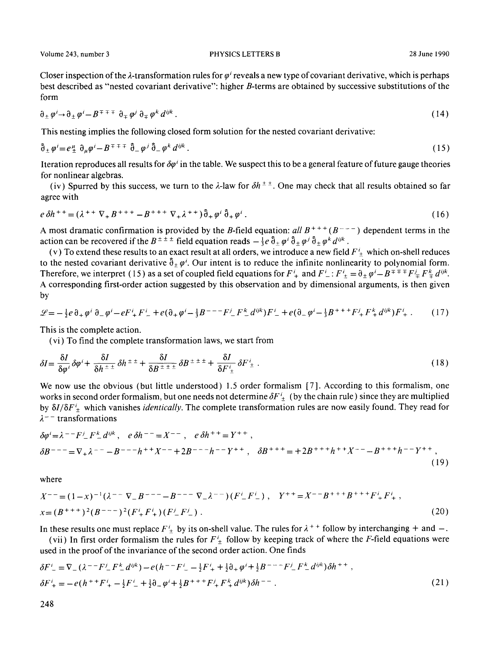Volume 243, number 3 **PHYSICS LETTERS B** 28 June 1990

Closer inspection of the  $\lambda$ -transformation rules for  $\varphi'$  reveals a new type of covariant derivative, which is perhaps best described as "nested covariant derivative": higher B-terms are obtained by successive substitutions of the form

$$
\partial_{\pm} \varphi^i \to \partial_{\pm} \varphi^i - B^{\mp} \mp \bar{\tau} \ \partial_{\mp} \varphi^j \ \partial_{\mp} \varphi^k \ d^{ijk} \ . \tag{14}
$$

This nesting implies the following closed form solution for the nested covariant derivative:

$$
\hat{\partial}_{\pm} \varphi' = e^{\mu}_{\pm} \partial_{\mu} \varphi' - B^{\mp \mp \mp} \hat{\partial}_{\pm} \varphi' \hat{\partial}_{\pm} \varphi^k d^{ijk} \,. \tag{15}
$$

Iteration reproduces all results for  $\delta\varphi^i$  in the table. We suspect this to be a general feature of future gauge theories for nonlinear algebras.

(iv) Spurred by this success, we turn to the  $\lambda$ -law for  $\delta h^{\pm \pm}$ . One may check that all results obtained so far agree with

$$
e \, \delta h^{++} = (\lambda^{++} \nabla_+ B^{+++} - B^{+++} \nabla_+ \lambda^{++}) \hat{\partial}_+ \varphi^i \hat{\partial}_+ \varphi^i \,.
$$
 (16)

A most dramatic confirmation is provided by the B-field equation:  $all B^{+++}(B^{--})$  dependent terms in the action can be recovered if the  $B^{\pm \pm \pm}$  field equation reads  $-\frac{1}{3}e \hat{\partial}_+ \varphi^i \hat{\partial}_+ \varphi^j \hat{\partial}_+ \varphi^k d^{ijk}$ .

(v) To extend these results to an exact result at all orders, we introduce a new field  $F_{\pm}^{i}$  which on-shell reduces to the nested covariant derivative  $\hat{\theta}_\pm \varphi'$ . Our intent is to reduce the infinite nonlinearity to polynomial form. Therefore, we interpret (15) as a set of coupled field equations for  $F^i_+$  and  $F^i_-$ :  $F^i_+ = \partial_{\pm} \varphi^i - B^{\mp} \mp F^i_+ F^k_+ d^{ijk}$ . A corresponding first-order action suggested by this observation and by dimensional arguments, is then given by

$$
\mathcal{L} = -\frac{1}{2}e\,\partial_{+}\,\varphi^{i}\,\partial_{-}\,\varphi^{i} - eF^{i} + F^{i} - + e(\partial_{+}\,\varphi^{i} - \frac{1}{3}B^{--} - F^{i} - F^{k} - d^{ijk})F^{i} - + e(\partial_{-}\,\varphi^{i} - \frac{1}{3}B^{++} + F^{i} + F^{k} + d^{ijk})F^{i} + \dots \tag{17}
$$

This is the complete action.

(vi) To find the complete transformation laws, we start from

$$
\delta I = \frac{\delta I}{\delta \varphi^i} \delta \varphi^i + \frac{\delta I}{\delta h^{\pm \pm}} \delta h^{\pm \pm} + \frac{\delta I}{\delta B^{\pm \pm \pm}} \delta B^{\pm \pm \pm} + \frac{\delta I}{\delta F^i_{\pm}} \delta F^i_{\pm} \,. \tag{18}
$$

We now use the obvious (but little understood) 1.5 order formalism [7]. According to this formalism, one works in second order formalism, but one needs not determine  $\delta F_{\pm}$  (by the chain rule) since they are multiplied by *6I/3F~* which vanishes *identically.* The complete transformation rules are now easily found. They read for  $\lambda$ <sup>--</sup> transformations

$$
\delta \varphi^{i} = \lambda^{--} F^{i}{}_{-} F^{k}{}_{-} d^{ijk} , \quad e \delta h^{--} = X^{--} , \quad e \delta h^{++} = Y^{++} ,
$$
  

$$
\delta B^{---} = \nabla_{+} \lambda^{--} - B^{---} h^{++} X^{--} + 2B^{---} h^{--} Y^{++} , \quad \delta B^{+++} = +2B^{+++} h^{++} X^{---} B^{+++} h^{--} Y^{++} , \tag{19}
$$

where

$$
X^{--} = (1-x)^{-1}(\lambda^{--}\nabla_-B^{--}-B^{--}\nabla_-\lambda^{--})(F^i{}_+F^i{}_+), \quad Y^{++} = X^{--}B^{++} + B^{++}F^i{}_+F^i{}_+
$$
  

$$
x = (B^{++})^2(B^{--})^2(F^i{}_+F^i{}_+)(F^j{}_-F^j{}_-).
$$
 (20)

In these results one must replace  $F^i_+$  by its on-shell value. The rules for  $\lambda^{++}$  follow by interchanging + and -.

(vii) In first order formalism the rules for  $F^i_{\pm}$  follow by keeping track of where the F-field equations were used in the proof of the invariance of the second order action. One finds

$$
\delta F_{-}^{i} = \nabla_{-} (\lambda^{--} F_{-}^{i} F_{-}^{k} d^{ijk}) - e(h^{--} F_{-}^{i} - \frac{1}{2} F_{+}^{i} + \frac{1}{2} \partial_{+} \varphi^{i} + \frac{1}{2} B^{--} F_{-}^{i} F_{-}^{k} d^{ijk}) \delta h^{++},
$$
  
\n
$$
\delta F_{+}^{i} = -e(h^{++} F_{+}^{i} - \frac{1}{2} F_{-}^{i} + \frac{1}{2} \partial_{-} \varphi^{i} + \frac{1}{2} B^{++} F_{+}^{k} F_{+}^{k} d^{ijk}) \delta h^{--}.
$$
\n(21)